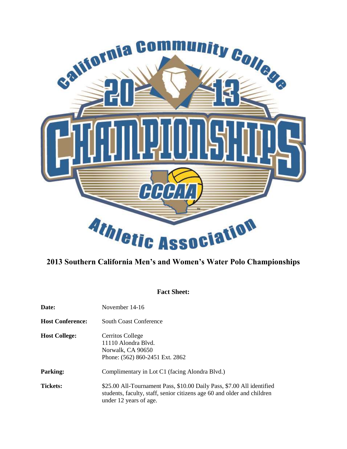

# **2013 Southern California Men's and Women's Water Polo Championships**

## **Fact Sheet:**

| Date:                   | November 14-16                                                                                                                                                              |  |  |  |
|-------------------------|-----------------------------------------------------------------------------------------------------------------------------------------------------------------------------|--|--|--|
| <b>Host Conference:</b> | <b>South Coast Conference</b>                                                                                                                                               |  |  |  |
| <b>Host College:</b>    | Cerritos College<br>11110 Alondra Blyd.<br>Norwalk, CA 90650<br>Phone: (562) 860-2451 Ext. 2862                                                                             |  |  |  |
| <b>Parking:</b>         | Complimentary in Lot C1 (facing Alondra Blvd.)                                                                                                                              |  |  |  |
| <b>Tickets:</b>         | \$25.00 All-Tournament Pass, \$10.00 Daily Pass, \$7.00 All identified<br>students, faculty, staff, senior citizens age 60 and older and children<br>under 12 years of age. |  |  |  |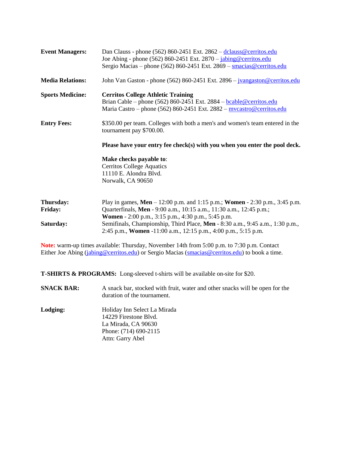| <b>Event Managers:</b>                   | Dan Clauss - phone (562) 860-2451 Ext. 2862 - dclauss@cerritos.edu<br>Joe Abing - phone (562) 860-2451 Ext. 2870 - jabing@cerritos.edu<br>Sergio Macias – phone (562) 860-2451 Ext. 2869 – smacias @cerritos.edu                                                                                                                                            |  |  |  |  |
|------------------------------------------|-------------------------------------------------------------------------------------------------------------------------------------------------------------------------------------------------------------------------------------------------------------------------------------------------------------------------------------------------------------|--|--|--|--|
| <b>Media Relations:</b>                  | John Van Gaston - phone (562) 860-2451 Ext. $2896 - \frac{\text{jvangaston} \&cerritos.edu}{\text{jwrfaff}}$                                                                                                                                                                                                                                                |  |  |  |  |
| <b>Sports Medicine:</b>                  | <b>Cerritos College Athletic Training</b><br>Brian Cable – phone (562) 860-2451 Ext. 2884 – <b>bcable@cerritos.edu</b><br>Maria Castro - phone (562) 860-2451 Ext. 2882 - mycastro@cerritos.edu                                                                                                                                                             |  |  |  |  |
| <b>Entry Fees:</b>                       | \$350.00 per team. Colleges with both a men's and women's team entered in the<br>tournament pay \$700.00.                                                                                                                                                                                                                                                   |  |  |  |  |
|                                          | Please have your entry fee check(s) with you when you enter the pool deck.                                                                                                                                                                                                                                                                                  |  |  |  |  |
|                                          | Make checks payable to:<br><b>Cerritos College Aquatics</b><br>11110 E. Alondra Blvd.<br>Norwalk, CA 90650                                                                                                                                                                                                                                                  |  |  |  |  |
| Thursday:<br><b>Friday:</b><br>Saturday: | Play in games, Men – 12:00 p.m. and 1:15 p.m.; Women - 2:30 p.m., 3:45 p.m.<br>Quarterfinals, Men - 9:00 a.m., 10:15 a.m., 11:30 a.m., 12:45 p.m.;<br>Women - 2:00 p.m., 3:15 p.m., 4:30 p.m., 5:45 p.m.<br>Semifinals, Championship, Third Place, Men - 8:30 a.m., 9:45 a.m., 1:30 p.m.,<br>2:45 p.m., Women -11:00 a.m., 12:15 p.m., 4:00 p.m., 5:15 p.m. |  |  |  |  |

**Note:** warm-up times available: Thursday, November 14th from 5:00 p.m. to 7:30 p.m. Contact Either Joe Abing [\(jabing@cerritos.edu\)](mailto:jabing@cerritos.edu) or Sergio Macias [\(smacias@cerritos.edu\)](mailto:smacias@cerritos.edu) to book a time.

**T-SHIRTS & PROGRAMS:** Long-sleeved t-shirts will be available on-site for \$20.

- **SNACK BAR:** A snack bar, stocked with fruit, water and other snacks will be open for the duration of the tournament.
- **Lodging:** Holiday Inn Select La Mirada 14229 Firestone Blvd. La Mirada, CA 90630 Phone: (714) 690-2115 Attn: Garry Abel